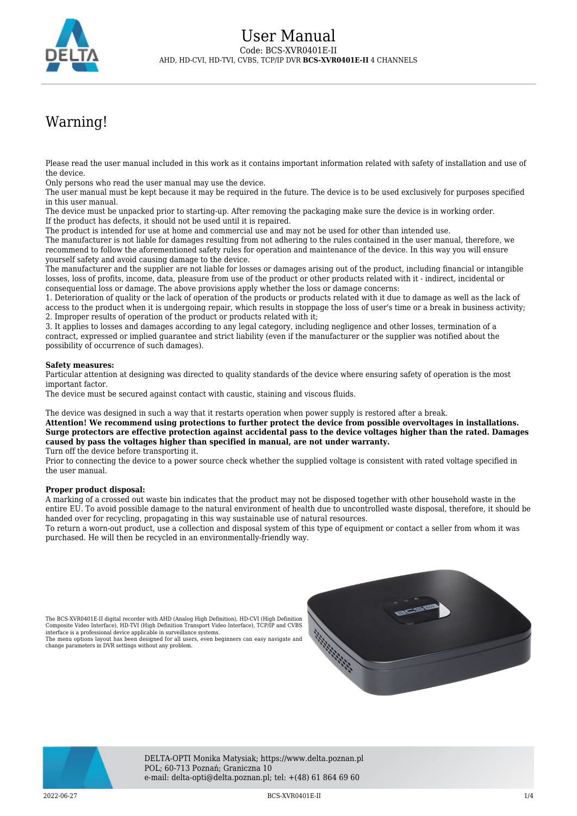

# Warning!

Please read the user manual included in this work as it contains important information related with safety of installation and use of the device.

Only persons who read the user manual may use the device.

The user manual must be kept because it may be required in the future. The device is to be used exclusively for purposes specified in this user manual.

The device must be unpacked prior to starting-up. After removing the packaging make sure the device is in working order. If the product has defects, it should not be used until it is repaired.

The product is intended for use at home and commercial use and may not be used for other than intended use.

The manufacturer is not liable for damages resulting from not adhering to the rules contained in the user manual, therefore, we recommend to follow the aforementioned safety rules for operation and maintenance of the device. In this way you will ensure yourself safety and avoid causing damage to the device.

The manufacturer and the supplier are not liable for losses or damages arising out of the product, including financial or intangible losses, loss of profits, income, data, pleasure from use of the product or other products related with it - indirect, incidental or consequential loss or damage. The above provisions apply whether the loss or damage concerns:

1. Deterioration of quality or the lack of operation of the products or products related with it due to damage as well as the lack of access to the product when it is undergoing repair, which results in stoppage the loss of user's time or a break in business activity; 2. Improper results of operation of the product or products related with it;

3. It applies to losses and damages according to any legal category, including negligence and other losses, termination of a contract, expressed or implied guarantee and strict liability (even if the manufacturer or the supplier was notified about the possibility of occurrence of such damages).

#### **Safety measures:**

Particular attention at designing was directed to quality standards of the device where ensuring safety of operation is the most important factor.

The device must be secured against contact with caustic, staining and viscous fluids.

The device was designed in such a way that it restarts operation when power supply is restored after a break.

**Attention! We recommend using protections to further protect the device from possible overvoltages in installations. Surge protectors are effective protection against accidental pass to the device voltages higher than the rated. Damages caused by pass the voltages higher than specified in manual, are not under warranty.** Turn off the device before transporting it.

Prior to connecting the device to a power source check whether the supplied voltage is consistent with rated voltage specified in the user manual.

#### **Proper product disposal:**

A marking of a crossed out waste bin indicates that the product may not be disposed together with other household waste in the entire EU. To avoid possible damage to the natural environment of health due to uncontrolled waste disposal, therefore, it should be handed over for recycling, propagating in this way sustainable use of natural resources.

To return a worn-out product, use a collection and disposal system of this type of equipment or contact a seller from whom it was purchased. He will then be recycled in an environmentally-friendly way.

The BCS-XVR0401E-II digital recorder with AHD (Analog High Definition), HD-CVI (High Definition Composite Video Interface), HD-TVI (High Definition Transport Video Interface), TCP/IP and CVBS interface is a professional device applicable in surveillance systems. The menu options layout has been designed for all users, even beginners can easy navigate and

change parameters in DVR settings without any problem.





DELTA-OPTI Monika Matysiak; https://www.delta.poznan.pl POL; 60-713 Poznań; Graniczna 10 e-mail: delta-opti@delta.poznan.pl; tel: +(48) 61 864 69 60

2022-06-27 BCS-XVR0401E-II 1/4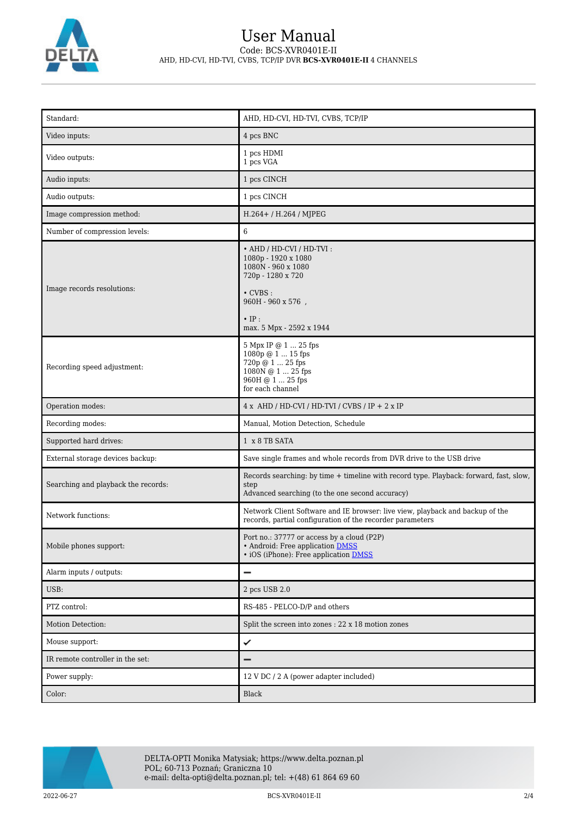

## User Manual Code: BCS-XVR0401E-II AHD, HD-CVI, HD-TVI, CVBS, TCP/IP DVR **BCS-XVR0401E-II** 4 CHANNELS

| Standard:                           | AHD, HD-CVI, HD-TVI, CVBS, TCP/IP                                                                                                                                                             |
|-------------------------------------|-----------------------------------------------------------------------------------------------------------------------------------------------------------------------------------------------|
| Video inputs:                       | 4 pcs BNC                                                                                                                                                                                     |
| Video outputs:                      | 1 pcs HDMI<br>1 pcs VGA                                                                                                                                                                       |
| Audio inputs:                       | 1 pcs CINCH                                                                                                                                                                                   |
| Audio outputs:                      | 1 pcs CINCH                                                                                                                                                                                   |
| Image compression method:           | H.264+ / H.264 / MJPEG                                                                                                                                                                        |
| Number of compression levels:       | 6                                                                                                                                                                                             |
| Image records resolutions:          | • AHD / HD-CVI / HD-TVI:<br>1080p - 1920 x 1080<br>1080N - 960 x 1080<br>720p - 1280 x 720<br>$\cdot$ CVBS :<br>$960\mathrm{H}$ - $960$ x $576$ ,<br>$\cdot$ IP :<br>max. 5 Mpx - 2592 x 1944 |
| Recording speed adjustment:         | 5 Mpx IP @ 1  25 fps<br>1080p @ 1  15 fps<br>720p @ 1  25 fps<br>1080N @ 1  25 fps<br>960H @ 1  25 fps<br>for each channel                                                                    |
| Operation modes:                    | $4 x$ AHD / HD-CVI / HD-TVI / CVBS / IP + 2 x IP                                                                                                                                              |
| Recording modes:                    | Manual, Motion Detection, Schedule                                                                                                                                                            |
| Supported hard drives:              | 1 x 8 TB SATA                                                                                                                                                                                 |
| External storage devices backup:    | Save single frames and whole records from DVR drive to the USB drive                                                                                                                          |
| Searching and playback the records: | Records searching: by time + timeline with record type. Playback: forward, fast, slow,<br>step<br>Advanced searching (to the one second accuracy)                                             |
| Network functions:                  | Network Client Software and IE browser: live view, playback and backup of the<br>records, partial configuration of the recorder parameters                                                    |
| Mobile phones support:              | Port no.: 37777 or access by a cloud (P2P)<br>• Android: Free application DMSS<br>• iOS (iPhone): Free application DMSS                                                                       |
| Alarm inputs / outputs:             | $\qquad \qquad$                                                                                                                                                                               |
| USB:                                | 2 pcs USB 2.0                                                                                                                                                                                 |
| PTZ control:                        | RS-485 - PELCO-D/P and others                                                                                                                                                                 |
| Motion Detection:                   | Split the screen into zones : 22 x 18 motion zones                                                                                                                                            |
| Mouse support:                      | ✓                                                                                                                                                                                             |
| IR remote controller in the set:    | -                                                                                                                                                                                             |
| Power supply:                       | 12 V DC / 2 A (power adapter included)                                                                                                                                                        |
| Color:                              | Black                                                                                                                                                                                         |

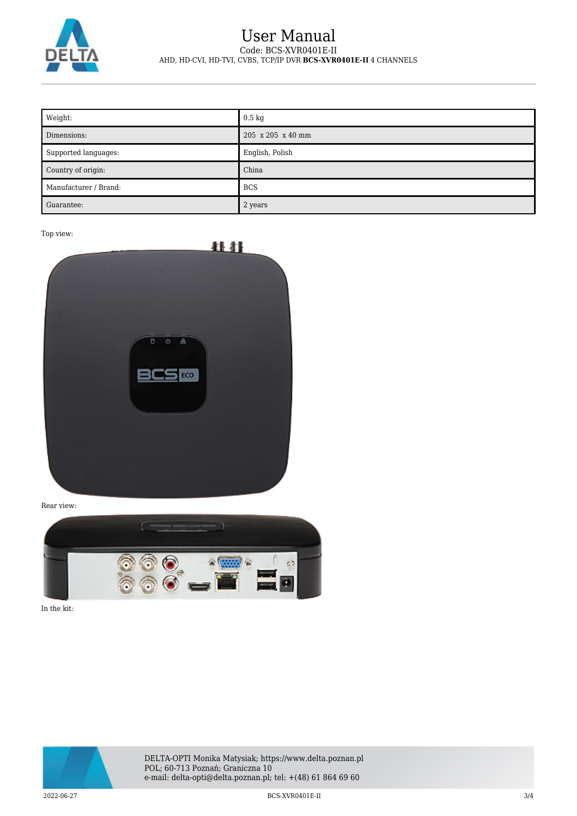

### User Manual Code: BCS-XVR0401E-II AHD, HD-CVI, HD-TVI, CVBS, TCP/IP DVR **BCS-XVR0401E-II** 4 CHANNELS

| Weight:               | $0.5 \text{ kg}$  |
|-----------------------|-------------------|
| Dimensions:           | 205 x 205 x 40 mm |
| Supported languages:  | English, Polish   |
| Country of origin:    | China             |
| Manufacturer / Brand: | <b>BCS</b>        |
| Guarantee:            | 2 years           |

Top view:



Rear view:



In the kit:



DELTA-OPTI Monika Matysiak; https://www.delta.poznan.pl POL; 60-713 Poznań; Graniczna 10 e-mail: delta-opti@delta.poznan.pl; tel: +(48) 61 864 69 60

2022-06-27 BCS-XVR0401E-II 3/4